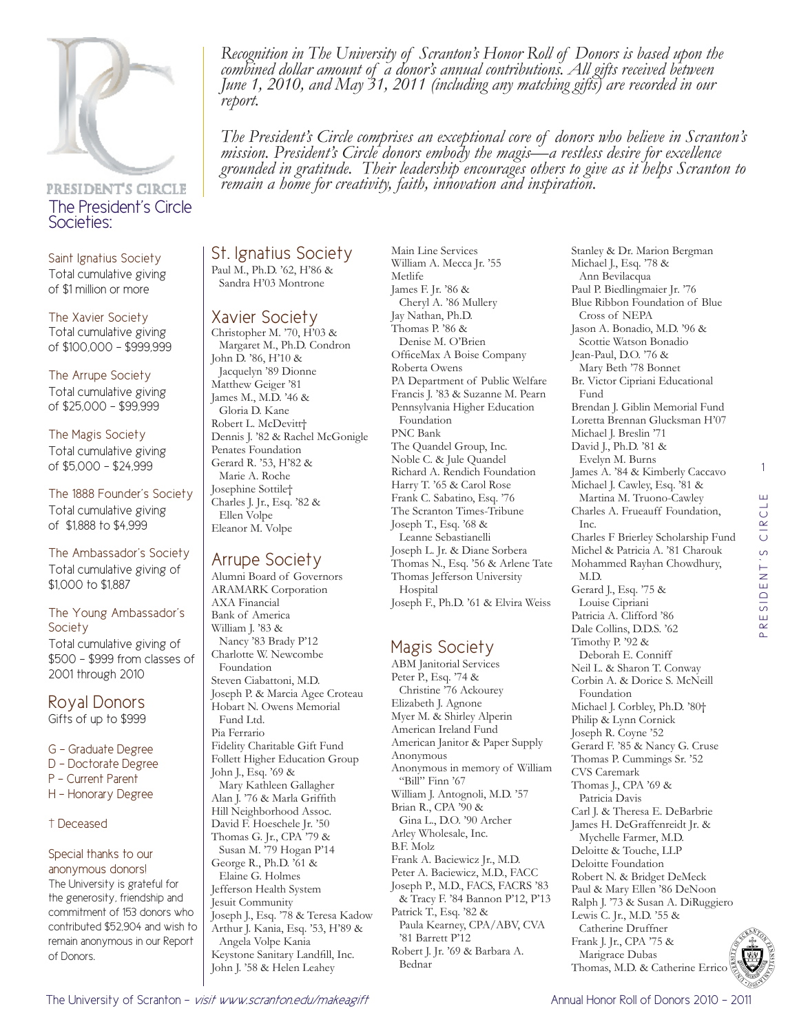

### PRESIDENT'S CIRCLE The President's Circle Societies:

Saint Ignatius Society Total cumulative giving of \$1 million or more

The Xavier Society Total cumulative giving of \$100,000 - \$999,999

The Arrupe Society Total cumulative giving of \$25,000 - \$99,999

The Magis Society Total cumulative giving of \$5,000 - \$24,999

The 1888 Founder's Society Total cumulative giving of \$1,888 to \$4,999

#### The Ambassador's Society

Total cumulative giving of \$1,000 to \$1,887

#### The Young Ambassador's **Society**

Total cumulative giving of \$500 - \$999 from classes of 2001 through 2010

# Royal Donors

Gifts of up to \$999

- G Graduate Degree
- D Doctorate Degree
- P Current Parent
- H Honorary Degree

#### † Deceased

#### Special thanks to our anonymous donors!

The University is grateful for the generosity, friendship and commitment of 153 donors who contributed \$52,904 and wish to remain anonymous in our Report of Donors.

*Recognition in The University of Scranton's Honor Roll of Donors is based upon the combined dollar amount of a donor's annual contributions. All gifts received between June 1, 2010, and May 31, 2011 (including any matching gifts) are recorded in our report.* 

*The President's Circle comprises an exceptional core of donors who believe in Scranton's mission. President's Circle donors embody the magis—a restless desire for excellence grounded in gratitude. Their leadership encourages others to give as it helps Scranton to remain a home for creativity, faith, innovation and inspiration.*

## St. Ignatius Society

Paul M., Ph.D. '62, H'86 & Sandra H'03 Montrone

### Xavier Society

Christopher M. '70, H'03 & Margaret M., Ph.D. Condron John D. '86, H'10 & Jacquelyn '89 Dionne Matthew Geiger '81 James M., M.D. '46 & Gloria D. Kane Robert L. McDevitt† Dennis J. '82 & Rachel McGonigle Penates Foundation Gerard R. '53, H'82 & Marie A. Roche Josephine Sottile† Charles J. Jr., Esq. '82 & Ellen Volpe Eleanor M. Volpe

### Arrupe Society

Alumni Board of Governors ARAMARK Corporation AXA Financial Bank of America William J. '83 & Nancy '83 Brady P'12 Charlotte W. Newcombe Foundation Steven Ciabattoni, M.D. Joseph P. & Marcia Agee Croteau Hobart N. Owens Memorial Fund Ltd. Pia Ferrario Fidelity Charitable Gift Fund Follett Higher Education Group John J., Esq. '69 & Mary Kathleen Gallagher Alan J. '76 & Marla Griffith Hill Neighborhood Assoc. David F. Hoeschele Jr. '50 Thomas G. Jr., CPA '79 & Susan M. '79 Hogan P'14 George R., Ph.D. '61 & Elaine G. Holmes Jefferson Health System Jesuit Community Joseph J., Esq. '78 & Teresa Kadow Arthur J. Kania, Esq. '53, H'89 & Angela Volpe Kania Keystone Sanitary Landfill, Inc. John J. '58 & Helen Leahey

Main Line Services William A. Mecca Jr. '55 Metlife James F. Jr. '86 & Cheryl A. '86 Mullery Jay Nathan, Ph.D. Thomas P. '86 & Denise M. O'Brien OfficeMax A Boise Company Roberta Owens PA Department of Public Welfare Francis J. '83 & Suzanne M. Pearn Pennsylvania Higher Education Foundation PNC Bank The Quandel Group, Inc. Noble C. & Jule Quandel Richard A. Rendich Foundation Harry T. '65 & Carol Rose Frank C. Sabatino, Esq. '76 The Scranton Times-Tribune Joseph T., Esq. '68 & Leanne Sebastianelli Joseph L. Jr. & Diane Sorbera Thomas N., Esq. '56 & Arlene Tate Thomas Jefferson University Hospital Joseph F., Ph.D. '61 & Elvira Weiss

## Magis Society

ABM Janitorial Services Peter P., Esq. '74 & Christine '76 Ackourey Elizabeth J. Agnone Myer M. & Shirley Alperin American Ireland Fund American Janitor & Paper Supply Anonymous Anonymous in memory of William "Bill" Finn '67 William J. Antognoli, M.D. '57 Brian R., CPA '90 & Gina L., D.O. '90 Archer Arley Wholesale, Inc. B.F. Molz Frank A. Baciewicz Jr., M.D. Peter A. Baciewicz, M.D., FACC Joseph P., M.D., FACS, FACRS '83 & Tracy F. '84 Bannon P'12, P'13 Patrick T., Esq. '82 & Paula Kearney, CPA/ABV, CVA '81 Barrett P'12 Robert J. Jr. '69 & Barbara A. Bednar

Stanley & Dr. Marion Bergman Michael J., Esq. '78 & Ann Bevilacqua Paul P. Biedlingmaier Jr. '76 Blue Ribbon Foundation of Blue Cross of NEPA Jason A. Bonadio, M.D. '96 & Scottie Watson Bonadio Jean-Paul, D.O. '76 & Mary Beth '78 Bonnet Br. Victor Cipriani Educational Fund Brendan J. Giblin Memorial Fund Loretta Brennan Glucksman H'07 Michael J. Breslin '71 David J., Ph.D. '81 & Evelyn M. Burns James A. '84 & Kimberly Caccavo Michael J. Cawley, Esq. '81 & Martina M. Truono-Cawley Charles A. Frueauff Foundation, Inc. Charles F Brierley Scholarship Fund Michel & Patricia A. '81 Charouk Mohammed Rayhan Chowdhury, M.D. Gerard J., Esq. '75 & Louise Cipriani Patricia A. Clifford '86 Dale Collins, D.D.S. '62 Timothy P. '92 & Deborah E. Conniff Neil L. & Sharon T. Conway Corbin A. & Dorice S. McNeill Foundation Michael J. Corbley, Ph.D. '80† Philip & Lynn Cornick Joseph R. Coyne '52 Gerard F. '85 & Nancy G. Cruse Thomas P. Cummings Sr. '52 CVS Caremark Thomas J., CPA '69 & Patricia Davis Carl J. & Theresa E. DeBarbrie James H. DeGraffenreidt Jr. & Mychelle Farmer, M.D. Deloitte & Touche, LLP Deloitte Foundation Robert N. & Bridget DeMeck Paul & Mary Ellen '86 DeNoon Ralph J. '73 & Susan A. DiRuggiero Lewis C. Jr., M.D. '55 & Catherine Druffner Frank J. Jr., CPA '75 & Marigrace Dubas Thomas, M.D. & Catherine Errico

1

Ш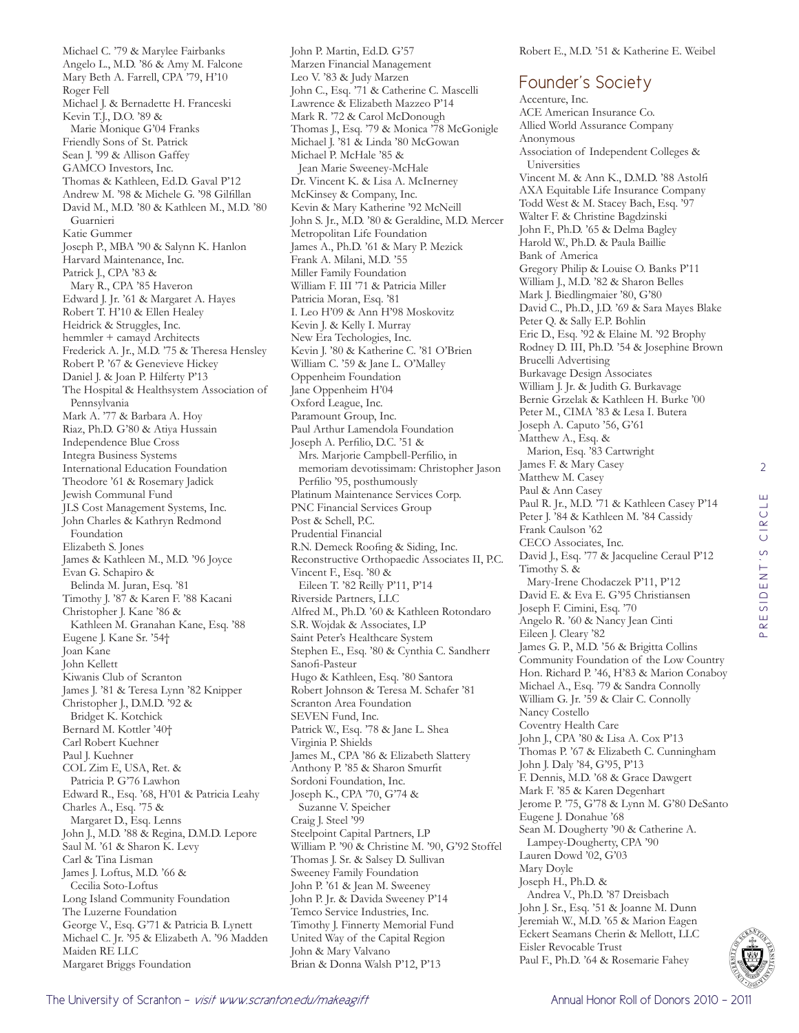Michael C. '79 & Marylee Fairbanks Angelo L., M.D. '86 & Amy M. Falcone Mary Beth A. Farrell, CPA '79, H'10 Roger Fell Michael J. & Bernadette H. Franceski Kevin T.J., D.O. '89 & Marie Monique G'04 Franks Friendly Sons of St. Patrick Sean J. '99 & Allison Gaffey GAMCO Investors, Inc. Thomas & Kathleen, Ed.D. Gaval P'12 Andrew M. '98 & Michele G. '98 Gilfillan David M., M.D. '80 & Kathleen M., M.D. '80 Guarnieri Katie Gummer Joseph P., MBA '90 & Salynn K. Hanlon Harvard Maintenance, Inc. Patrick J., CPA '83 & Mary R., CPA '85 Haveron Edward J. Jr. '61 & Margaret A. Hayes Robert T. H'10 & Ellen Healey Heidrick & Struggles, Inc. hemmler + camayd Architects Frederick A. Jr., M.D. '75 & Theresa Hensley Robert P. '67 & Genevieve Hickey Daniel J. & Joan P. Hilferty P'13 The Hospital & Healthsystem Association of Pennsylvania Mark A. '77 & Barbara A. Hoy Riaz, Ph.D. G'80 & Atiya Hussain Independence Blue Cross Integra Business Systems International Education Foundation Theodore '61 & Rosemary Jadick Jewish Communal Fund JLS Cost Management Systems, Inc. John Charles & Kathryn Redmond Foundation Elizabeth S. Jones James & Kathleen M., M.D. '96 Joyce Evan G. Schapiro & Belinda M. Juran, Esq. '81 Timothy J. '87 & Karen F. '88 Kacani Christopher J. Kane '86 & Kathleen M. Granahan Kane, Esq. '88 Eugene J. Kane Sr. '54† Joan Kane John Kellett Kiwanis Club of Scranton James J. '81 & Teresa Lynn '82 Knipper Christopher J., D.M.D. '92 & Bridget K. Kotchick Bernard M. Kottler '40† Carl Robert Kuehner Paul J. Kuehner COL Zim E, USA, Ret. & Patricia P. G'76 Lawhon Edward R., Esq. '68, H'01 & Patricia Leahy Charles A., Esq. '75 & Margaret D., Esq. Lenns John J., M.D. '88 & Regina, D.M.D. Lepore Saul M. '61 & Sharon K. Levy Carl & Tina Lisman James J. Loftus, M.D. '66 & Cecilia Soto-Loftus Long Island Community Foundation The Luzerne Foundation George V., Esq. G'71 & Patricia B. Lynett Michael C. Jr. '95 & Elizabeth A. '96 Madden Maiden RE LLC Margaret Briggs Foundation

John P. Martin, Ed.D. G'57 Marzen Financial Management Leo V. '83 & Judy Marzen John C., Esq. '71 & Catherine C. Mascelli Lawrence & Elizabeth Mazzeo P'14 Mark R. '72 & Carol McDonough Thomas J., Esq. '79 & Monica '78 McGonigle Michael J. '81 & Linda '80 McGowan Michael P. McHale '85 & Jean Marie Sweeney-McHale Dr. Vincent K. & Lisa A. McInerney McKinsey & Company, Inc. Kevin & Mary Katherine '92 McNeill John S. Jr., M.D. '80 & Geraldine, M.D. Mercer Metropolitan Life Foundation James A., Ph.D. '61 & Mary P. Mezick Frank A. Milani, M.D. '55 Miller Family Foundation William F. III '71 & Patricia Miller Patricia Moran, Esq. '81 I. Leo H'09 & Ann H'98 Moskovitz Kevin J. & Kelly I. Murray New Era Techologies, Inc. Kevin J. '80 & Katherine C. '81 O'Brien William C. '59 & Jane L. O'Malley Oppenheim Foundation Jane Oppenheim H'04 Oxford League, Inc. Paramount Group, Inc. Paul Arthur Lamendola Foundation Joseph A. Perfilio, D.C. '51 & Mrs. Marjorie Campbell-Perfilio, in memoriam devotissimam: Christopher Jason Perfilio '95, posthumously Platinum Maintenance Services Corp. PNC Financial Services Group Post & Schell, P.C. Prudential Financial R.N. Demeck Roofing & Siding, Inc. Reconstructive Orthopaedic Associates II, P.C. Vincent F., Esq. '80 & Eileen T. '82 Reilly P'11, P'14 Riverside Partners, LLC Alfred M., Ph.D. '60 & Kathleen Rotondaro S.R. Wojdak & Associates, LP Saint Peter's Healthcare System Stephen E., Esq. '80 & Cynthia C. Sandherr Sanofi -Pasteur Hugo & Kathleen, Esq. '80 Santora Robert Johnson & Teresa M. Schafer '81 Scranton Area Foundation SEVEN Fund, Inc. Patrick W., Esq. '78 & Jane L. Shea Virginia P. Shields James M., CPA '86 & Elizabeth Slattery Anthony P. '85 & Sharon Smurfit Sordoni Foundation, Inc. Joseph K., CPA '70, G'74 & Suzanne V. Speicher Craig J. Steel '99 Steelpoint Capital Partners, LP William P. '90 & Christine M. '90, G'92 Stoffel Thomas J. Sr. & Salsey D. Sullivan Sweeney Family Foundation John P. '61 & Jean M. Sweeney John P. Jr. & Davida Sweeney P'14 Temco Service Industries, Inc. Timothy J. Finnerty Memorial Fund United Way of the Capital Region John & Mary Valvano Brian & Donna Walsh P'12, P'13

Robert E., M.D. '51 & Katherine E. Weibel

#### Founder's Society

Accenture, Inc. ACE American Insurance Co. Allied World Assurance Company Anonymous Association of Independent Colleges & Universities Vincent M. & Ann K., D.M.D. '88 Astolfi AXA Equitable Life Insurance Company Todd West & M. Stacey Bach, Esq. '97 Walter F. & Christine Bagdzinski John F., Ph.D. '65 & Delma Bagley Harold W., Ph.D. & Paula Baillie Bank of America Gregory Philip & Louise O. Banks P'11 William J., M.D. '82 & Sharon Belles Mark J. Biedlingmaier '80, G'80 David C., Ph.D., J.D. '69 & Sara Mayes Blake Peter Q. & Sally E.P. Bohlin Eric D., Esq. '92 & Elaine M. '92 Brophy Rodney D. III, Ph.D. '54 & Josephine Brown Brucelli Advertising Burkavage Design Associates William J. Jr. & Judith G. Burkavage Bernie Grzelak & Kathleen H. Burke '00 Peter M., CIMA '83 & Lesa I. Butera Joseph A. Caputo '56, G'61 Matthew A., Esq. & Marion, Esq. '83 Cartwright James F. & Mary Casey Matthew M. Casey Paul & Ann Casey Paul R. Jr., M.D. '71 & Kathleen Casey P'14 Peter J. '84 & Kathleen M. '84 Cassidy Frank Caulson '62 CECO Associates, Inc. David J., Esq. '77 & Jacqueline Ceraul P'12 Timothy S. & Mary-Irene Chodaczek P'11, P'12 David E. & Eva E. G'95 Christiansen Joseph F. Cimini, Esq. '70 Angelo R. '60 & Nancy Jean Cinti Eileen J. Cleary '82 James G. P., M.D. '56 & Brigitta Collins Community Foundation of the Low Country Hon. Richard P. '46, H'83 & Marion Conaboy Michael A., Esq. '79 & Sandra Connolly William G. Jr. '59 & Clair C. Connolly Nancy Costello Coventry Health Care John J., CPA '80 & Lisa A. Cox P'13 Thomas P. '67 & Elizabeth C. Cunningham John J. Daly '84, G'95, P'13 F. Dennis, M.D. '68 & Grace Dawgert Mark F. '85 & Karen Degenhart Jerome P. '75, G'78 & Lynn M. G'80 DeSanto Eugene J. Donahue '68 Sean M. Dougherty '90 & Catherine A. Lampey-Dougherty, CPA '90 Lauren Dowd '02, G'03 Mary Doyle Joseph H., Ph.D. & Andrea V., Ph.D. '87 Dreisbach John J. Sr., Esq. '51 & Joanne M. Dunn Jeremiah W., M.D. '65 & Marion Eagen Eckert Seamans Cherin & Mellott, LLC Eisler Revocable Trust Paul F., Ph.D. '64 & Rosemarie Fahey

2

ш

PRESIDENT'S CIRCLE

PRESIDENT'S CIRCL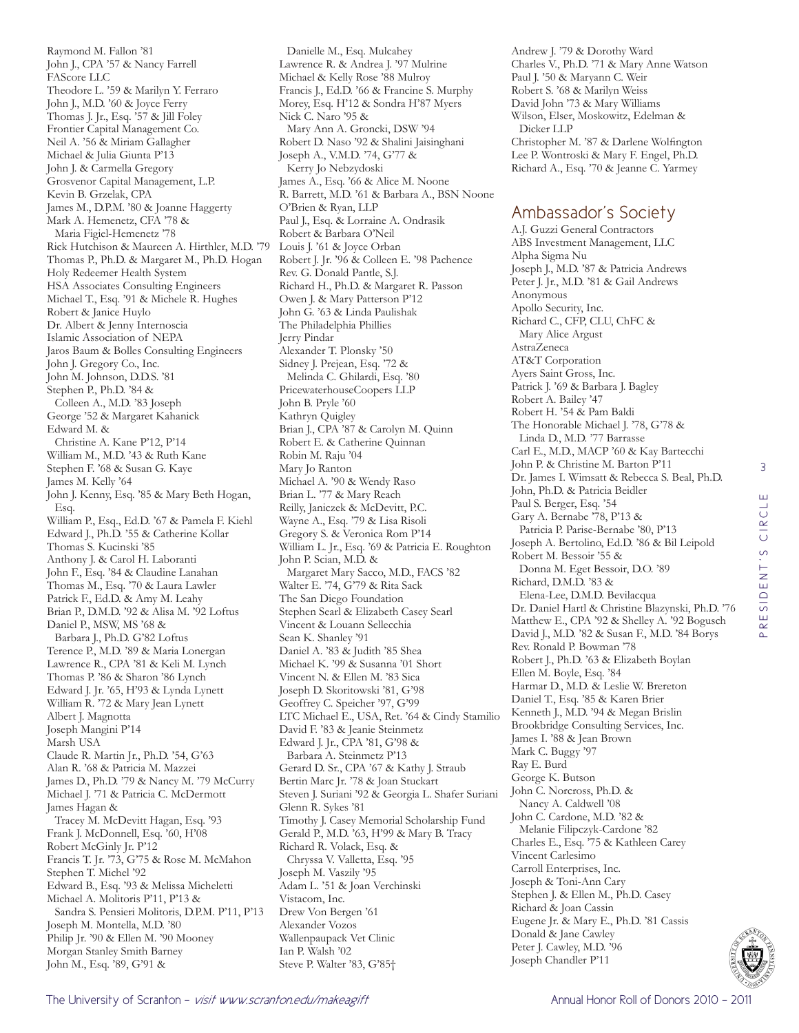Raymond M. Fallon '81 John J., CPA '57 & Nancy Farrell FAScore LLC Theodore L. '59 & Marilyn Y. Ferraro John J., M.D. '60 & Joyce Ferry Thomas J. Jr., Esq. '57 & Jill Foley Frontier Capital Management Co. Neil A. '56 & Miriam Gallagher Michael & Julia Giunta P'13 John J. & Carmella Gregory Grosvenor Capital Management, L.P. Kevin B. Grzelak, CPA James M., D.P.M. '80 & Joanne Haggerty Mark A. Hemenetz, CFA '78 & Maria Figiel-Hemenetz '78 Rick Hutchison & Maureen A. Hirthler, M.D. '79 Thomas P., Ph.D. & Margaret M., Ph.D. Hogan Holy Redeemer Health System HSA Associates Consulting Engineers Michael T., Esq. '91 & Michele R. Hughes Robert & Janice Huylo Dr. Albert & Jenny Internoscia Islamic Association of NEPA Jaros Baum & Bolles Consulting Engineers John J. Gregory Co., Inc. John M. Johnson, D.D.S. '81 Stephen P., Ph.D. '84 & Colleen A., M.D. '83 Joseph George '52 & Margaret Kahanick Edward M. & Christine A. Kane P'12, P'14 William M., M.D. '43 & Ruth Kane Stephen F. '68 & Susan G. Kaye James M. Kelly '64 John J. Kenny, Esq. '85 & Mary Beth Hogan, Esq. William P., Esq., Ed.D. '67 & Pamela F. Kiehl Edward J., Ph.D. '55 & Catherine Kollar Thomas S. Kucinski '85 Anthony J. & Carol H. Laboranti John F., Esq. '84 & Claudine Lanahan Thomas M., Esq. '70 & Laura Lawler Patrick F., Ed.D. & Amy M. Leahy Brian P., D.M.D. '92 & Alisa M. '92 Loftus Daniel P., MSW, MS '68 & Barbara J., Ph.D. G'82 Loftus Terence P., M.D. '89 & Maria Lonergan Lawrence R., CPA '81 & Keli M. Lynch Thomas P. '86 & Sharon '86 Lynch Edward J. Jr. '65, H'93 & Lynda Lynett William R. '72 & Mary Jean Lynett Albert J. Magnotta Joseph Mangini P'14 Marsh USA Claude R. Martin Jr., Ph.D. '54, G'63 Alan R. '68 & Patricia M. Mazzei James D., Ph.D. '79 & Nancy M. '79 McCurry Michael J. '71 & Patricia C. McDermott James Hagan & Tracey M. McDevitt Hagan, Esq. '93 Frank J. McDonnell, Esq. '60, H'08 Robert McGinly Jr. P'12 Francis T. Jr. '73, G'75 & Rose M. McMahon Stephen T. Michel '92 Edward B., Esq. '93 & Melissa Micheletti Michael A. Molitoris P'11, P'13 & Sandra S. Pensieri Molitoris, D.P.M. P'11, P'13 Joseph M. Montella, M.D. '80 Philip Jr. '90 & Ellen M. '90 Mooney Morgan Stanley Smith Barney John M., Esq. '89, G'91 &

Danielle M., Esq. Mulcahey Lawrence R. & Andrea J. '97 Mulrine Michael & Kelly Rose '88 Mulroy Francis J., Ed.D. '66 & Francine S. Murphy Morey, Esq. H'12 & Sondra H'87 Myers Nick C. Naro '95 & Mary Ann A. Groncki, DSW '94 Robert D. Naso '92 & Shalini Jaisinghani Joseph A., V.M.D. '74, G'77 & Kerry Jo Nebzydoski James A., Esq. '66 & Alice M. Noone R. Barrett, M.D. '61 & Barbara A., BSN Noone O'Brien & Ryan, LLP Paul J., Esq. & Lorraine A. Ondrasik Robert & Barbara O'Neil Louis J. '61 & Joyce Orban Robert J. Jr. '96 & Colleen E. '98 Pachence Rev. G. Donald Pantle, S.J. Richard H., Ph.D. & Margaret R. Passon Owen J. & Mary Patterson P'12 John G. '63 & Linda Paulishak The Philadelphia Phillies Jerry Pindar Alexander T. Plonsky '50 Sidney J. Prejean, Esq. '72 & Melinda C. Ghilardi, Esq. '80 PricewaterhouseCoopers LLP John B. Pryle '60 Kathryn Quigley Brian J., CPA '87 & Carolyn M. Quinn Robert E. & Catherine Quinnan Robin M. Raju '04 Mary Jo Ranton Michael A. '90 & Wendy Raso Brian L. '77 & Mary Reach Reilly, Janiczek & McDevitt, P.C. Wayne A., Esq. '79 & Lisa Risoli Gregory S. & Veronica Rom P'14 William L. Jr., Esq. '69 & Patricia E. Roughton John P. Scian, M.D. & Margaret Mary Sacco, M.D., FACS '82 Walter E. '74, G'79 & Rita Sack The San Diego Foundation Stephen Searl & Elizabeth Casey Searl Vincent & Louann Sellecchia Sean K. Shanley '91 Daniel A. '83 & Judith '85 Shea Michael K. '99 & Susanna '01 Short Vincent N. & Ellen M. '83 Sica Joseph D. Skoritowski '81, G'98 Geoffrey C. Speicher '97, G'99 LTC Michael E., USA, Ret. '64 & Cindy Stamilio David F. '83 & Jeanie Steinmetz Edward J. Jr., CPA '81, G'98 & Barbara A. Steinmetz P'13 Gerard D. Sr., CPA '67 & Kathy J. Straub Bertin Marc Jr. '78 & Joan Stuckart Steven J. Suriani '92 & Georgia L. Shafer Suriani Glenn R. Sykes '81 Timothy J. Casey Memorial Scholarship Fund Gerald P., M.D. '63, H'99 & Mary B. Tracy Richard R. Volack, Esq. & Chryssa V. Valletta, Esq. '95 Joseph M. Vaszily '95 Adam L. '51 & Joan Verchinski Vistacom, Inc. Drew Von Bergen '61 Alexander Vozos Wallenpaupack Vet Clinic Ian P. Walsh '02 Steve P. Walter '83, G'85†

Andrew J. '79 & Dorothy Ward Charles V., Ph.D. '71 & Mary Anne Watson Paul J. '50 & Maryann C. Weir Robert S. '68 & Marilyn Weiss David John '73 & Mary Williams Wilson, Elser, Moskowitz, Edelman & Dicker LLP Christopher M. '87 & Darlene Wolfington Lee P. Wontroski & Mary F. Engel, Ph.D. Richard A., Esq. '70 & Jeanne C. Yarmey

#### Ambassador's Society

A.J. Guzzi General Contractors ABS Investment Management, LLC Alpha Sigma Nu Joseph J., M.D. '87 & Patricia Andrews Peter J. Jr., M.D. '81 & Gail Andrews Anonymous Apollo Security, Inc. Richard C., CFP, CLU, ChFC & Mary Alice Argust AstraZeneca AT&T Corporation Ayers Saint Gross, Inc. Patrick J. '69 & Barbara J. Bagley Robert A. Bailey '47 Robert H. '54 & Pam Baldi The Honorable Michael J. '78, G'78 & Linda D., M.D. '77 Barrasse Carl E., M.D., MACP '60 & Kay Bartecchi John P. & Christine M. Barton P'11 Dr. James I. Wimsatt & Rebecca S. Beal, Ph.D. John, Ph.D. & Patricia Beidler Paul S. Berger, Esq. '54 Gary A. Bernabe '78, P'13 & Patricia P. Parise-Bernabe '80, P'13 Joseph A. Bertolino, Ed.D. '86 & Bil Leipold Robert M. Bessoir '55 & Donna M. Eget Bessoir, D.O. '89 Richard, D.M.D. '83 & Elena-Lee, D.M.D. Bevilacqua Dr. Daniel Hartl & Christine Blazynski, Ph.D. '76 Matthew E., CPA '92 & Shelley A. '92 Bogusch David J., M.D. '82 & Susan F., M.D. '84 Borys Rev. Ronald P. Bowman '78 Robert J., Ph.D. '63 & Elizabeth Boylan Ellen M. Boyle, Esq. '84 Harmar D., M.D. & Leslie W. Brereton Daniel T., Esq. '85 & Karen Brier Kenneth J., M.D. '94 & Megan Brislin Brookbridge Consulting Services, Inc. James I. '88 & Jean Brown Mark C. Buggy '97 Ray E. Burd George K. Butson John C. Norcross, Ph.D. & Nancy A. Caldwell '08 John C. Cardone, M.D. '82 & Melanie Filipczyk-Cardone '82 Charles E., Esq. '75 & Kathleen Carey Vincent Carlesimo Carroll Enterprises, Inc. Joseph & Toni-Ann Cary Stephen J. & Ellen M., Ph.D. Casey Richard & Joan Cassin Eugene Jr. & Mary E., Ph.D. '81 Cassis Donald & Jane Cawley Peter J. Cawley, M.D. '96 Joseph Chandler P'11

3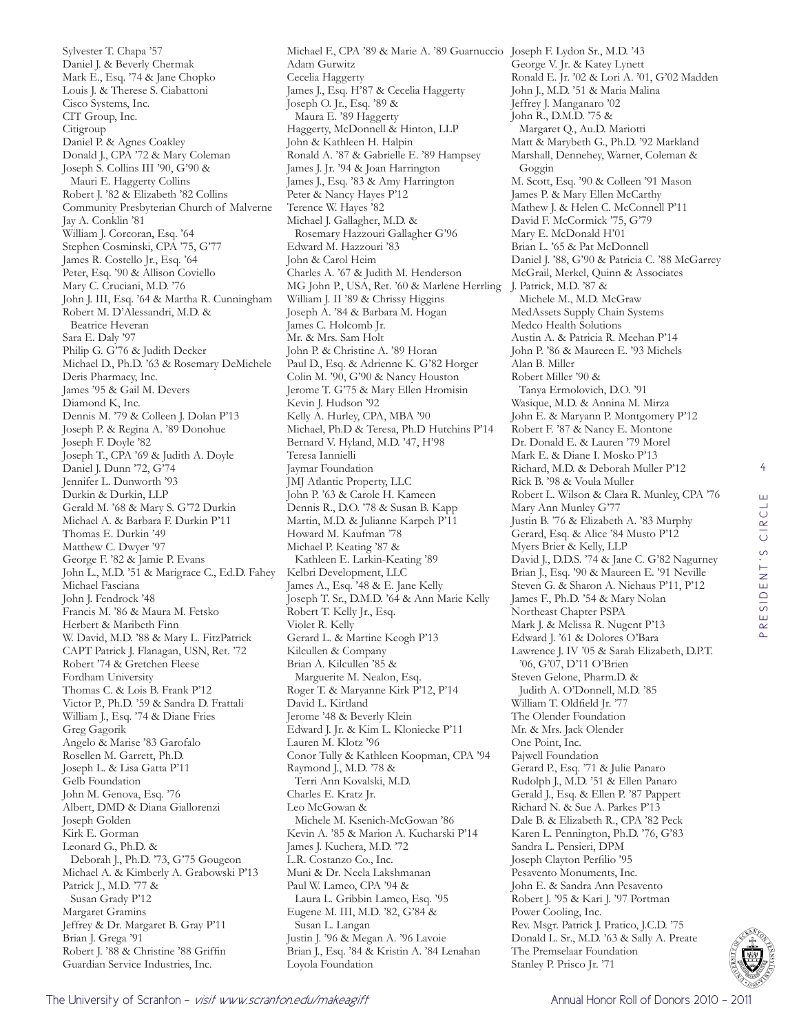Sylvester T. Chapa '57 Daniel J. & Beverly Chermak Mark E., Esq. '74 & Jane Chopko Louis J. & Therese S. Ciabattoni Cisco Systems, Inc. CIT Group, Inc. **Citigroup** Daniel P. & Agnes Coakley Donald J., CPA '72 & Mary Coleman Joseph S. Collins III '90, G'90 & Mauri E. Haggerty Collins Robert J. '82 & Elizabeth '82 Collins Community Presbyterian Church of Malverne Jay A. Conklin '81 William J. Corcoran, Esq. '64 Stephen Cosminski, CPA '75, G'77 James R. Costello Jr., Esq. '64 Peter, Esq. '90 & Allison Coviello Mary C. Cruciani, M.D. '76 John J. III, Esq. '64 & Martha R. Cunningham Robert M. D'Alessandri, M.D. & Beatrice Heveran Sara E. Daly '97 Philip G. G'76 & Judith Decker Michael D., Ph.D. '63 & Rosemary DeMichele Deris Pharmacy, Inc. James '95 & Gail M. Devers Diamond K, Inc. Dennis M. '79 & Colleen J. Dolan P'13 Joseph P. & Regina A. '89 Donohue Joseph F. Doyle '82 Joseph T., CPA '69 & Judith A. Doyle Daniel J. Dunn '72, G'74 Jennifer L. Dunworth '93 Durkin & Durkin, LLP Gerald M. '68 & Mary S. G'72 Durkin Michael A. & Barbara F. Durkin P'11 Thomas E. Durkin '49 Matthew C. Dwyer '97 George F. '82 & Jamie P. Evans John L., M.D. '51 & Marigrace C., Ed.D. Fahey Michael Fasciana John J. Fendrock '48 Francis M. '86 & Maura M. Fetsko Herbert & Maribeth Finn W. David, M.D. '88 & Mary L. FitzPatrick CAPT Patrick J. Flanagan, USN, Ret. '72 Robert '74 & Gretchen Fleese Fordham University Thomas C. & Lois B. Frank P'12 Victor P., Ph.D. '59 & Sandra D. Frattali William J., Esq. '74 & Diane Fries Greg Gagorik Angelo & Marise '83 Garofalo Rosellen M. Garrett, Ph.D. Joseph L. & Lisa Gatta P'11 Gelb Foundation John M. Genova, Esq. '76 Albert, DMD & Diana Giallorenzi Joseph Golden Kirk E. Gorman Leonard G., Ph.D. & Deborah J., Ph.D. '73, G'75 Gougeon Michael A. & Kimberly A. Grabowski P'13 Patrick J., M.D. '77 & Susan Grady P'12 Margaret Gramins Jeffrey & Dr. Margaret B. Gray P'11 Brian J. Grega '91 Robert J. '88 & Christine '88 Griffin Guardian Service Industries, Inc.

Michael F., CPA '89 & Marie A. '89 Guarnuccio Joseph F. Lydon Sr., M.D. '43 Adam Gurwitz Cecelia Haggerty James J., Esq. H'87 & Cecelia Haggerty Joseph O. Jr., Esq. '89 & Maura E. '89 Haggerty Haggerty, McDonnell & Hinton, LLP John & Kathleen H. Halpin Ronald A. '87 & Gabrielle E. '89 Hampsey James J. Jr. '94 & Joan Harrington James J., Esq. '83 & Amy Harrington Peter & Nancy Hayes P'12 Terence W. Hayes '82 Michael J. Gallagher, M.D. & Rosemary Hazzouri Gallagher G'96 Edward M. Hazzouri '83 John & Carol Heim Charles A. '67 & Judith M. Henderson MG John P., USA, Ret. '60 & Marlene Herrling William J. II '89 & Chrissy Higgins Joseph A. '84 & Barbara M. Hogan James C. Holcomb Jr. Mr. & Mrs. Sam Holt John P. & Christine A. '89 Horan Paul D., Esq. & Adrienne K. G'82 Horger Colin M. '90, G'90 & Nancy Houston Jerome T. G'75 & Mary Ellen Hromisin Kevin J. Hudson '92 Kelly A. Hurley, CPA, MBA '90 Michael, Ph.D & Teresa, Ph.D Hutchins P'14 Bernard V. Hyland, M.D. '47, H'98 Teresa Iannielli Jaymar Foundation JMJ Atlantic Property, LLC John P. '63 & Carole H. Kameen Dennis R., D.O. '78 & Susan B. Kapp Martin, M.D. & Julianne Karpeh P'11 Howard M. Kaufman '78 Michael P. Keating '87 & Kathleen E. Larkin-Keating '89 Kelbri Development, LLC James A., Esq. '48 & E. Jane Kelly Joseph T. Sr., D.M.D. '64 & Ann Marie Kelly Robert T. Kelly Jr., Esq. Violet R. Kelly Gerard L. & Martine Keogh P'13 Kilcullen & Company Brian A. Kilcullen '85 & Marguerite M. Nealon, Esq. Roger T. & Maryanne Kirk P'12, P'14 David L. Kirtland Jerome '48 & Beverly Klein Edward J. Jr. & Kim L. Kloniecke P'11 Lauren M. Klotz '96 Conor Tully & Kathleen Koopman, CPA '94 Raymond J., M.D. '78 & Terri Ann Kovalski, M.D. Charles E. Kratz Jr. Leo McGowan & Michele M. Ksenich-McGowan '86 Kevin A. '85 & Marion A. Kucharski P'14 James J. Kuchera, M.D. '72 L.R. Costanzo Co., Inc. Muni & Dr. Neela Lakshmanan Paul W. Lameo, CPA '94 & Laura L. Gribbin Lameo, Esq. '95 Eugene M. III, M.D. '82, G'84 & Susan L. Langan Justin J. '96 & Megan A. '96 Lavoie Brian J., Esq. '84 & Kristin A. '84 Lenahan Loyola Foundation

George V. Jr. & Katey Lynett Ronald E. Jr. '02 & Lori A. '01, G'02 Madden John J., M.D. '51 & Maria Malina Jeffrey J. Manganaro '02 John R., D.M.D. '75 & Margaret Q., Au.D. Mariotti Matt & Marybeth G., Ph.D. '92 Markland Marshall, Dennehey, Warner, Coleman & Goggin M. Scott, Esq. '90 & Colleen '91 Mason James P. & Mary Ellen McCarthy Mathew J. & Helen C. McConnell P'11 David F. McCormick '75, G'79 Mary E. McDonald H'01 Brian L. '65 & Pat McDonnell Daniel J. '88, G'90 & Patricia C. '88 McGarrey McGrail, Merkel, Quinn & Associates J. Patrick, M.D. '87 & Michele M., M.D. McGraw MedAssets Supply Chain Systems Medco Health Solutions Austin A. & Patricia R. Meehan P'14 John P. '86 & Maureen E. '93 Michels Alan B. Miller Robert Miller '90 & Tanya Ermolovich, D.O. '91 Wasique, M.D. & Annina M. Mirza John E. & Maryann P. Montgomery P'12 Robert F. '87 & Nancy E. Montone Dr. Donald E. & Lauren '79 Morel Mark E. & Diane I. Mosko P'13 Richard, M.D. & Deborah Muller P'12 Rick B. '98 & Voula Muller Robert L. Wilson & Clara R. Munley, CPA '76 Mary Ann Munley G'77 Justin B. '76 & Elizabeth A. '83 Murphy Gerard, Esq. & Alice '84 Musto P'12 Myers Brier & Kelly, LLP David J., D.D.S. '74 & Jane C. G'82 Nagurney Brian J., Esq. '90 & Maureen E. '91 Neville Steven G. & Sharon A. Niehaus P'11, P'12 James F., Ph.D. '54 & Mary Nolan Northeast Chapter PSPA Mark J. & Melissa R. Nugent P'13 Edward J. '61 & Dolores O'Bara Lawrence J. IV '05 & Sarah Elizabeth, D.P.T. '06, G'07, D'11 O'Brien Steven Gelone, Pharm.D. & Judith A. O'Donnell, M.D. '85 William T. Oldfield Jr. '77 The Olender Foundation Mr. & Mrs. Jack Olender One Point, Inc. Pajwell Foundation Gerard P., Esq. '71 & Julie Panaro Rudolph J., M.D. '51 & Ellen Panaro Gerald J., Esq. & Ellen P. '87 Pappert Richard N. & Sue A. Parkes P'13 Dale B. & Elizabeth R., CPA '82 Peck Karen L. Pennington, Ph.D. '76, G'83 Sandra L. Pensieri, DPM Joseph Clayton Perfilio '95 Pesavento Monuments, Inc. John E. & Sandra Ann Pesavento Robert J. '95 & Kari J. '97 Portman Power Cooling, Inc. Rev. Msgr. Patrick J. Pratico, J.C.D. '75 Donald L. Sr., M.D. '63 & Sally A. Preate The Premselaar Foundation Stanley P. Prisco Jr. '71

4